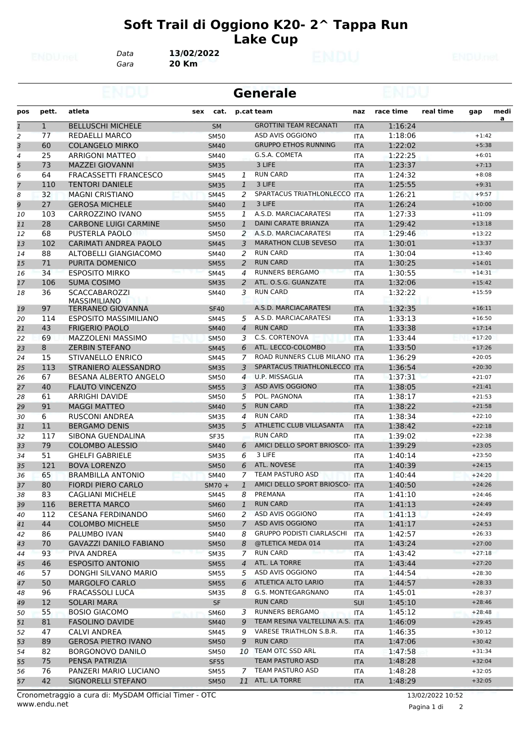## **Soft Trail di Oggiono K20- 2^ Tappa Run Lake Cup**

*Gara* **20 Km** *Data* **13/02/2022**

|                |              |                                             | <b>Generale</b> |                |                                  |                   |           |           |          |                |
|----------------|--------------|---------------------------------------------|-----------------|----------------|----------------------------------|-------------------|-----------|-----------|----------|----------------|
| pos            | pett.        | atleta                                      | cat.<br>sex     |                | p.cat team                       | naz               | race time | real time | gap      | medi           |
| $\mathbf{1}$   | $\mathbf{1}$ | <b>BELLUSCHI MICHELE</b>                    | <b>SM</b>       |                | <b>GROTTINI TEAM RECANATI</b>    | <b>ITA</b>        | 1:16:24   |           |          | $\overline{a}$ |
| $\overline{a}$ | 77           | <b>REDAELLI MARCO</b>                       | <b>SM50</b>     |                | ASD AVIS OGGIONO                 | <b>ITA</b>        | 1:18:06   |           | $+1:42$  |                |
| 3              | 60           | <b>COLANGELO MIRKO</b>                      | <b>SM40</b>     |                | <b>GRUPPO ETHOS RUNNING</b>      | <b>ITA</b>        | 1:22:02   |           | $+5:38$  |                |
| 4              | 25           | ARRIGONI MATTEO                             | <b>SM40</b>     |                | G.S.A. COMETA                    | <b>ITA</b>        | 1:22:25   |           | $+6:01$  |                |
| 5              | 73           | <b>MAZZEI GIOVANNI</b>                      | <b>SM35</b>     |                | 3 LIFE                           | <b>ITA</b>        | 1:23:37   |           | $+7:13$  |                |
| 6              | 64           | <b>FRACASSETTI FRANCESCO</b>                | SM45            | 1              | <b>RUN CARD</b>                  | <b>ITA</b>        | 1:24:32   |           | $+8:08$  |                |
| 7              | 110          | <b>TENTORI DANIELE</b>                      | <b>SM35</b>     | $\mathbf{1}$   | 3 LIFE                           | <b>ITA</b>        | 1:25:55   |           | $+9:31$  |                |
| 8              | 32           | <b>MAGNI CRISTIANO</b>                      | <b>SM45</b>     | 2              | SPARTACUS TRIATHLONLECCO ITA     |                   | 1:26:21   |           | $+9:57$  |                |
| 9              | 27           | <b>GEROSA MICHELE</b>                       | <b>SM40</b>     | $\mathbf{1}$   | 3 LIFE                           | <b>ITA</b>        | 1:26:24   |           | $+10:00$ |                |
| 10             | 103          | CARROZZINO IVANO                            | <b>SM55</b>     | 1              | A.S.D. MARCIACARATESI            | <b>ITA</b>        | 1:27:33   |           | $+11:09$ |                |
| 11             | 28           | <b>CARBONE LUIGI CARMINE</b>                | <b>SM50</b>     | $\mathbf{1}$   | DAINI CARATE BRIANZA             | <b>ITA</b>        | 1:29:42   |           | $+13:18$ |                |
| 12             | 68           | <b>PUSTERLA PAOLO</b>                       | <b>SM50</b>     | 2              | A.S.D. MARCIACARATESI            | <b>ITA</b>        | 1:29:46   |           | $+13:22$ |                |
| 13             | 102          | CARIMATI ANDREA PAOLO                       | <b>SM45</b>     | 3              | <b>MARATHON CLUB SEVESO</b>      | <b>ITA</b>        | 1:30:01   |           | $+13:37$ |                |
| 14             | 88           | ALTOBELLI GIANGIACOMO                       | <b>SM40</b>     | 2              | <b>RUN CARD</b>                  | <b>ITA</b>        | 1:30:04   |           | $+13:40$ |                |
| 15             | 71           | PURITA DOMENICO                             | <b>SM55</b>     | 2              | <b>RUN CARD</b>                  | <b>ITA</b>        | 1:30:25   |           | $+14:01$ |                |
| 16             | 34           | <b>ESPOSITO MIRKO</b>                       | <b>SM45</b>     | 4              | <b>RUNNERS BERGAMO</b>           | <b>ITA</b>        | 1:30:55   |           | $+14:31$ |                |
| 17             | 106          | <b>SUMA COSIMO</b>                          | <b>SM35</b>     | 2              | ATL. O.S.G. GUANZATE             | <b>ITA</b>        | 1:32:06   |           | $+15:42$ |                |
| 18             | 36           | <b>SCACCABAROZZI</b><br><b>MASSIMILIANO</b> | SM40            | 3              | <b>RUN CARD</b>                  | ITA               | 1:32:22   |           | $+15:59$ |                |
| 19             | 97           | <b>TERRANEO GIOVANNA</b>                    | <b>SF40</b>     |                | A.S.D. MARCIACARATESI            | <b>ITA</b>        | 1:32:35   |           | $+16:11$ |                |
| 20             | 114          | <b>ESPOSITO MASSIMILIANO</b>                | <b>SM45</b>     | 5              | A.S.D. MARCIACARATESI            | <b>ITA</b>        | 1:33:13   |           | $+16:50$ |                |
| 21             | 43           | <b>FRIGERIO PAOLO</b>                       | <b>SM40</b>     | $\overline{4}$ | <b>RUN CARD</b>                  | <b>ITA</b>        | 1:33:38   |           | $+17:14$ |                |
| 22             | 69           | MAZZOLENI MASSIMO                           | <b>SM50</b>     | 3              | C.S. CORTENOVA                   | <b>ITA</b>        | 1:33:44   |           | $+17:20$ |                |
| 23             | 8            | <b>ZERBIN STEFANO</b>                       | <b>SM45</b>     | 6              | ATL. LECCO-COLOMBO               | <b>ITA</b>        | 1:33:50   |           | $+17:26$ |                |
| 24             | 15           | STIVANELLO ENRICO                           | <b>SM45</b>     | 7              | ROAD RUNNERS CLUB MILANO ITA     |                   | 1:36:29   |           | $+20:05$ |                |
| 25             | 113          | STRANIERO ALESSANDRO                        | <b>SM35</b>     | 3              | SPARTACUS TRIATHLONLECCO ITA     |                   | 1:36:54   |           | $+20:30$ |                |
| 26             | 67           | BESANA ALBERTO ANGELO                       | <b>SM50</b>     | $\overline{4}$ | U.P. MISSAGLIA                   | <b>ITA</b>        | 1:37:31   |           | $+21:07$ |                |
| 27             | 40           | <b>FLAUTO VINCENZO</b>                      | <b>SM55</b>     | 3              | <b>ASD AVIS OGGIONO</b>          | <b>ITA</b>        | 1:38:05   |           | $+21:41$ |                |
| 28             | 61           | ARRIGHI DAVIDE                              | <b>SM50</b>     | 5              | POL. PAGNONA                     | ITA               | 1:38:17   |           | $+21:53$ |                |
| 29             | 91           | <b>MAGGI MATTEO</b>                         | <b>SM40</b>     | 5              | <b>RUN CARD</b>                  | <b>ITA</b>        | 1:38:22   |           | $+21:58$ |                |
| 30             | 6            | <b>RUSCONI ANDREA</b>                       | <b>SM35</b>     | 4              | <b>RUN CARD</b>                  | <b>ITA</b>        | 1:38:34   |           | $+22:10$ |                |
| 31             | 11           | <b>BERGAMO DENIS</b>                        | <b>SM35</b>     | 5              | ATHLETIC CLUB VILLASANTA         | <b>ITA</b>        | 1:38:42   |           | $+22:18$ |                |
| 32             | 117          | SIBONA GUENDALINA                           | <b>SF35</b>     |                | <b>RUN CARD</b>                  | <b>ITA</b>        | 1:39:02   |           | $+22:38$ |                |
| 33             | 79           | <b>COLOMBO ALESSIO</b>                      | <b>SM40</b>     | 6              | AMICI DELLO SPORT BRIOSCO- ITA   |                   | 1:39:29   |           | $+23:05$ |                |
| 34             | 51           | <b>GHELFI GABRIELE</b>                      | SM35            | 6              | 3 LIFE                           | <b>ITA</b>        | 1:40:14   |           | $+23:50$ |                |
| 35             | 121          | <b>BOVA LORENZO</b>                         | <b>SM50</b>     | 6              | <b>ATL. NOVESE</b>               | <b>ITA</b>        | 1:40:39   |           | $+24:15$ |                |
| 36             | 65           | <b>BRAMBILLA ANTONIO</b>                    | <b>SM40</b>     | 7              | TEAM PASTURO ASD                 | <b>ITA</b>        | 1:40:44   |           | $+24:20$ |                |
| 37             | 80           | <b>FIORDI PIERO CARLO</b>                   | $SM70 +$        | $\mathbf{1}$   | AMICI DELLO SPORT BRIOSCO- ITA   |                   | 1:40:50   |           | $+24:26$ |                |
| 38             | 83           | <b>CAGLIANI MICHELE</b>                     | <b>SM45</b>     | 8              | PREMANA                          | ITA               | 1:41:10   |           | $+24:46$ |                |
| 39             | 116          | <b>BERETTA MARCO</b>                        | <b>SM60</b>     | $\mathbf{1}$   | <b>RUN CARD</b>                  | <b>ITA</b>        | 1:41:13   |           | $+24:49$ |                |
| 40             | 112          | <b>CESANA FERDINANDO</b>                    | <b>SM60</b>     |                | 2 ASD AVIS OGGIONO               | ITA               | 1:41:13   |           | $+24:49$ |                |
| 41             | 44           | <b>COLOMBO MICHELE</b>                      | <b>SM50</b>     | $\overline{7}$ | ASD AVIS OGGIONO                 | <b>ITA</b>        | 1:41:17   |           | $+24:53$ |                |
| 42             | 86           | PALUMBO IVAN                                | <b>SM40</b>     | 8              | <b>GRUPPO PODISTI CIARLASCHI</b> | ITA               | 1:42:57   |           | $+26:33$ |                |
| 43             | 70           | <b>GAVAZZI DANILO FABIANO</b>               | <b>SM50</b>     | 8              | @TLETICA MEDA 014                | <b>ITA</b>        | 1:43:24   |           | $+27:00$ |                |
| 44             | 93           | PIVA ANDREA                                 | <b>SM35</b>     | 7 <sup>7</sup> | <b>RUN CARD</b>                  | ITA               | 1:43:42   |           | $+27:18$ |                |
| 45             | 46           | <b>ESPOSITO ANTONIO</b>                     | <b>SM55</b>     | $\overline{4}$ | ATL. LA TORRE                    | <b>ITA</b>        | 1:43:44   |           | $+27:20$ |                |
| 46             | 57           | DONGHI SILVANO MARIO                        | SM55            | 5              | ASD AVIS OGGIONO                 | ITA               | 1:44:54   |           | $+28:30$ |                |
| 47             | 50           | <b>MARGOLFO CARLO</b>                       | <b>SM55</b>     | 6              | ATLETICA ALTO LARIO              | <b>ITA</b>        | 1:44:57   |           | $+28:33$ |                |
| 48             | 96           | <b>FRACASSOLI LUCA</b>                      | <b>SM35</b>     |                | 8 G.S. MONTEGARGNANO             | <b>ITA</b>        | 1:45:01   |           | $+28:37$ |                |
|                | 12           | <b>SOLARI MARA</b>                          | SF              |                | <b>RUN CARD</b>                  |                   | 1:45:10   |           | $+28:46$ |                |
| 49<br>50       | 55           | <b>BOSIO GIACOMO</b>                        | <b>SM60</b>     | 3              | <b>RUNNERS BERGAMO</b>           | <b>SUI</b><br>ITA | 1:45:12   |           | $+28:48$ |                |
| 51             | 81           | <b>FASOLINO DAVIDE</b>                      | <b>SM40</b>     | 9              | TEAM RESINA VALTELLINA A.S. ITA  |                   | 1:46:09   |           | $+29:45$ |                |
|                |              |                                             |                 |                | VARESE TRIATHLON S.B.R.          |                   |           |           | $+30:12$ |                |
| 52             | 47           | <b>CALVI ANDREA</b>                         | SM45            | 9              |                                  | ITA               | 1:46:35   |           |          |                |
| 53             | 89           | <b>GEROSA PIETRO IVANO</b>                  | <b>SM50</b>     | 9              | <b>RUN CARD</b>                  | <b>ITA</b>        | 1:47:06   |           | $+30:42$ |                |
| 54             | 82           | BORGONOVO DANILO                            | <b>SM50</b>     |                | 10 TEAM OTC SSD ARL              | ITA               | 1:47:58   |           | $+31:34$ |                |
| 55             | 75           | PENSA PATRIZIA                              | <b>SF55</b>     |                | TEAM PASTURO ASD                 | <b>ITA</b>        | 1:48:28   |           | $+32:04$ |                |
| 56             | 76           | PANZERI MARIO LUCIANO                       | <b>SM55</b>     |                | 7 TEAM PASTURO ASD               | ITA               | 1:48:28   |           | $+32:05$ |                |
| 57             | 42           | SIGNORELLI STEFANO                          | <b>SM50</b>     |                | 11 ATL. LA TORRE                 | <b>ITA</b>        | 1:48:29   |           | $+32:05$ |                |

Pagina 1 di 2